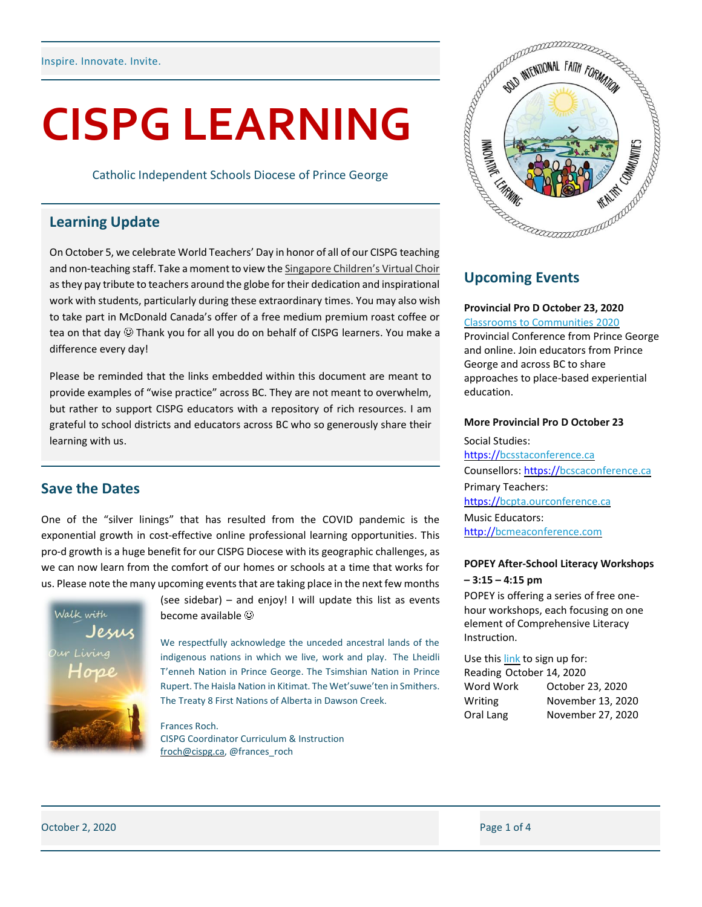# **CISPG LEARNING**

Catholic Independent Schools Diocese of Prince George

## **Learning Update**

On October 5, we celebrate World Teachers' Day in honor of all of our CISPG teaching and non-teaching staff. Take a moment to view the [Singapore Children's Virtual Choir](https://www.youtube.com/watch?v=YsKpPIOqLeM) as they pay tribute to teachers around the globe for their dedication and inspirational work with students, particularly during these extraordinary times. You may also wish to take part in McDonald Canada's offer of a free medium premium roast coffee or tea on that day  $\mathcal{O}$  Thank you for all you do on behalf of CISPG learners. You make a difference every day!

Please be reminded that the links embedded within this document are meant to provide examples of "wise practice" across BC. They are not meant to overwhelm, but rather to support CISPG educators with a repository of rich resources. I am grateful to school districts and educators across BC who so generously share their learning with us.

### **Save the Dates**

One of the "silver linings" that has resulted from the COVID pandemic is the exponential growth in cost-effective online professional learning opportunities. This pro-d growth is a huge benefit for our CISPG Diocese with its geographic challenges, as we can now learn from the comfort of our homes or schools at a time that works for us. Please note the many upcoming events that are taking place in the next few months



(see sidebar) – and enjoy! I will update this list as events become available

We respectfully acknowledge the unceded ancestral lands of the indigenous nations in which we live, work and play. The Lheidli T'enneh Nation in Prince George. The Tsimshian Nation in Prince Rupert. The Haisla Nation in Kitimat. The Wet'suwe'ten in Smithers. The Treaty 8 First Nations of Alberta in Dawson Creek.

Frances Roch. CISPG Coordinator Curriculum & Instruction [froch@cispg.ca,](mailto:froch@cispg.ca) @frances\_roch



# **Upcoming Events**

### **Provincial Pro D October 23, 2020**

[Classrooms to Communities 2020](https://c2c-bc.org/conference/) Provincial Conference from Prince George and online. Join educators from Prince George and across BC to share approaches to place-based experiential education.

### **More Provincial Pro D October 23**

Social Studies: [https://bcsstaconference.ca](https://t.co/3pFYQAVqGq?amp=1) Counsellors: [https://bcscaconference.ca](https://t.co/CPILZyEVA2?amp=1) Primary Teachers: [https://bcpta.ourconference.ca](https://t.co/Y284A32PmC?amp=1) Music Educators: [http://bcmeaconference.com](https://t.co/UJSy1EGyWr?amp=1)

### **POPEY After-School Literacy Workshops – 3:15 – 4:15 pm**

POPEY is offering a series of free onehour workshops, each focusing on one element of Comprehensive Literacy Instruction.

Use thi[s link](https://popey.ca/news/2020/09/fall-online-workshop-series) to sign up for: Reading October 14, 2020 Word Work October 23, 2020 Writing November 13, 2020 Oral Lang November 27, 2020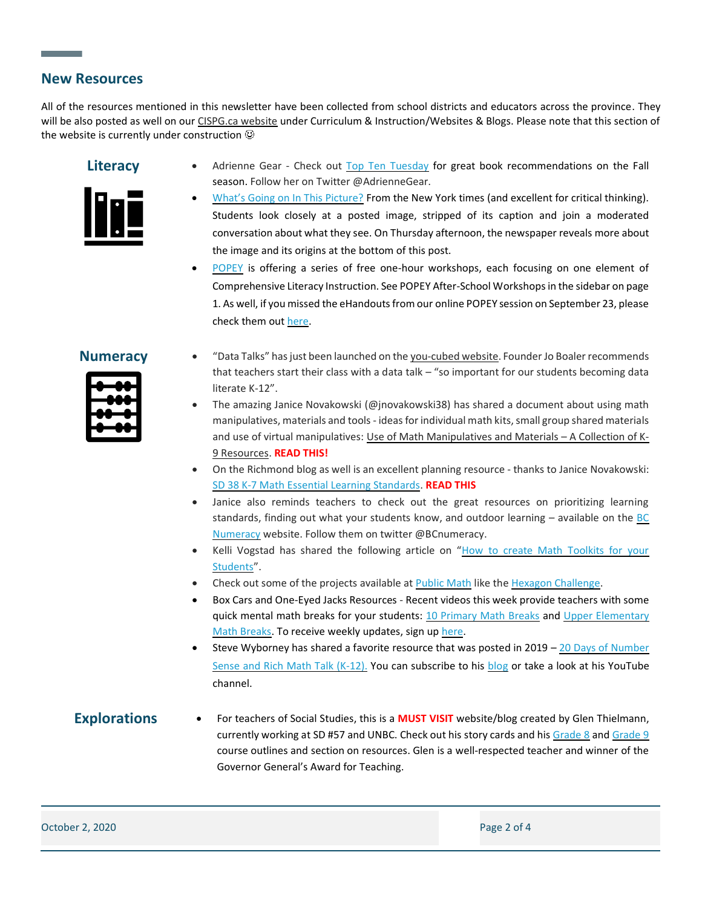### **New Resources**

All of the resources mentioned in this newsletter have been collected from school districts and educators across the province. They will be also posted as well on ou[r CISPG.ca website](http://cispg.ca/staff-intranet/curriculum-and-instruction/) under Curriculum & Instruction/Websites & Blogs. Please note that this section of the website is currently under construction  $\odot$ 



- **Literacy** Adrienne Gear Check out [Top Ten Tuesday](https://readingpowergear.wordpress.com/2020/09/22/top-ten-tuesday-new-fall-picks-for-the-first-day-of-fall/) for great book recommendations on the Fall season. Follow her on Twitter @AdrienneGear.
	- What's Going [on In This Picture?](https://www.nytimes.com/2020/09/13/learning/whats-going-on-in-this-picture-sept-14-2020.html) From the New York times (and excellent for critical thinking). Students look closely at a posted image, stripped of its caption and join a moderated conversation about what they see. On Thursday afternoon, the newspaper reveals more about the image and its origins at the bottom of this post.
	- [POPEY](https://popey.ca/) is offering a series of free one-hour workshops, each focusing on one element of Comprehensive Literacy Instruction. See POPEY After-School Workshops in the sidebar on page 1. As well, if you missed the eHandouts from our online POPEY session on September 23, please check them ou[t here.](https://popey.ca/professional-learning/popey-ehandouts)



- **Numeracy** "Data Talks" has just been launched on the [you-cubed website.](https://www.youcubed.org/resource/data-talks/) Founder Jo Boaler recommends that teachers start their class with a data talk – "so important for our students becoming data literate K-12".
	- The amazing Janice Novakowski (@jnovakowski38) has shared a document about using math manipulatives, materials and tools - ideas for individual math kits, small group shared materials and use of virtual manipulatives[: Use of Math Manipulatives and Materials](https://blogs.sd38.bc.ca/sd38mathandscience/wp-content/uploads/sites/14/2020/09/SD38_Math_Materials_Fall_2020.pdf) – A Collection of K-[9 Resources.](https://blogs.sd38.bc.ca/sd38mathandscience/wp-content/uploads/sites/14/2020/09/SD38_Math_Materials_Fall_2020.pdf) **READ THIS!**
	- On the Richmond blog as well is an excellent planning resource thanks to Janice Novakowski: [SD 38 K-7 Math Essential Learning Standards.](https://blogs.sd38.bc.ca/sd38mathandscience/fall-2020-resources/) **READ THIS**
	- Janice also reminds teachers to check out the great resources on prioritizing learning standards, finding out what your students know, and outdoor learning  $-$  available on the BC [Numeracy](https://sites.google.com/view/bc-numeracy-network) website. Follow them on twitter @BCnumeracy.
	- Kelli Vogstad has shared the following article on "How to create Math Toolkits for your [Students](https://www.mixandmath.com/blog/how-to-create-math-toolkits-for-your-students)".
	- Check out some of the projects available at [Public Math](https://www.public-math.org/) like the [Hexagon Challenge.](https://www.public-math.org/hexagon)
	- Box Cars and One-Eyed Jacks Resources Recent videos this week provide teachers with some quick mental math breaks for your students: [10 Primary Math Breaks](https://www.youtube.com/watch?v=6Qo6mb3ZX8s&ab_channel=BoxcarsEducation) and Upper Elementary [Math Breaks.](https://www.youtube.com/watch?v=ggZfVC65v5I&ab_channel=BoxcarsEducation) To receive weekly updates, sign u[p here.](https://www.boxcarsandoneeyedjacks.com/newsletters/)
	- Steve Wyborney has shared a favorite resource that was posted in  $2019 20$  Days of Number [Sense and Rich Math Talk \(K-12\).](https://stevewyborney.com/2019/02/20-days-of-number-sense-rich-math-talk/) You can subscribe to his [blog](https://stevewyborney.com/author/stevewyborneygmail-com/) or take a look at his YouTube channel.

**Explorations** • For teachers of Social Studies, this is a **MUST VISIT** website/blog created by Glen Thielmann, currently working at SD #57 and UNBC. Check out his story cards and hi[s Grade 8](https://www.thielmann.ca/uploads/2/4/2/6/24266342/ss8_new_outline_sep_2016.pdf) and [Grade 9](https://www.thielmann.ca/uploads/2/4/2/6/24266342/ss9_outline_sep_2016.pdf) course outlines and section on resources. Glen is a well-respected teacher and winner of the Governor General's Award for Teaching.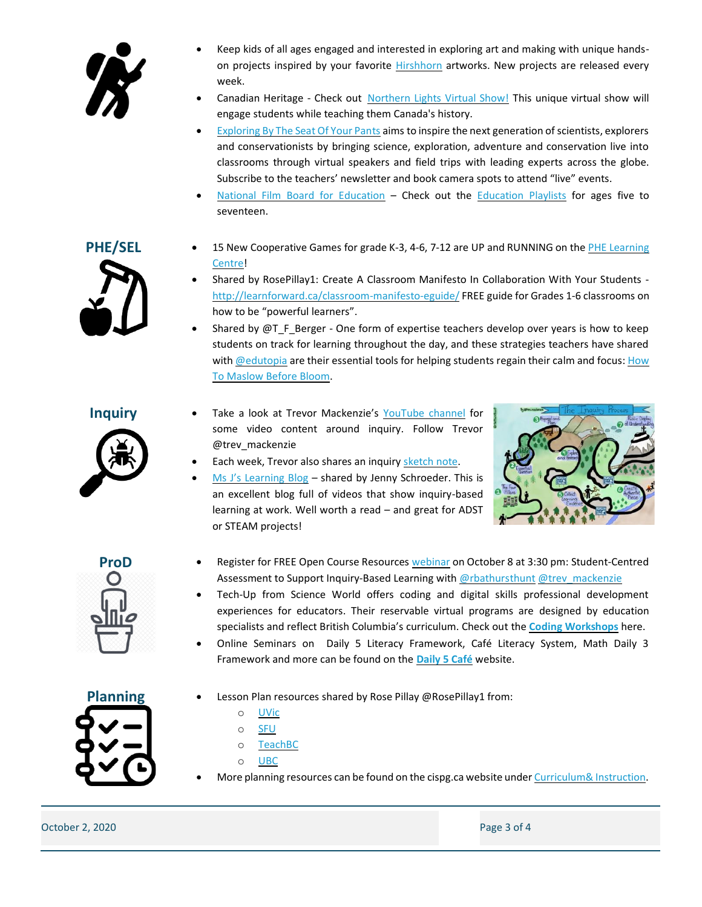

- Keep kids of all ages engaged and interested in exploring art and making with unique handson projects inspired by your favorite [Hirshhorn](https://hirshhorn.si.edu/explore/kids-at-home/?utm_source=siedu&utm_medium=referral&utm_campaign=ecr) artworks. New projects are released every week.
- Canadian Heritage Check out [Northern Lights Virtual Show!](https://www.canada.ca/en/canadian-heritage/campaigns/sound-light-show.html) This unique virtual show will engage students while teaching them Canada's history.
- [Exploring By The Seat Of Your Pants](https://www.exploringbytheseat.com/) aims to inspire the next generation of scientists, explorers and conservationists by bringing science, exploration, adventure and conservation live into classrooms through virtual speakers and field trips with leading experts across the globe. Subscribe to the teachers' newsletter and book camera spots to attend "live" events.
- [National Film Board for Education](https://www.nfb.ca/education/) Check out the [Education Playlists](https://www.nfb.ca/education/educational-playlists/#for-the-classroom?ed_en=feature_2&feature_type=promobox&promobox_id=2604) for ages five to seventeen.

- **PHE/SEL** 15 New Cooperative Games for grade K-3, 4-6, 7-12 are UP and RUNNING on the PHE Learning [Centre!](https://phecanada.ca/programs/phe-learning-centre/physical-education-activities)
	- Shared by RosePillay1: Create A Classroom Manifesto In Collaboration With Your Students [http://learnforward.ca/classroom-manifesto-eguide/](https://t.co/JP3nsa5PEo?amp=1) FREE guide for Grades 1-6 classrooms on how to be "powerful learners".
	- Shared by  $\omega$ T\_F\_Berger One form of expertise teachers develop over years is how to keep students on track for learning throughout the day, and these strategies teachers have shared wit[h @edutopia](https://twitter.com/edutopia) are their essential tools for helping students regain their calm and focus: How [To Maslow Before Bloom.](https://www.edutopia.org/article/how-maslow-bloom-all-day-long)



- **Inquiry** Take a look at Trevor Mackenzie's [YouTube channel](https://www.youtube.com/channel/UC2GXyoFLc0F15zEVp7ueBpg/videos) for some video content around inquiry. Follow Trevor @trev\_mackenzie
	- Each week, Trevor also shares an inquiry [sketch](https://www.trevormackenzie.com/exclusive-sketchnotes) note.
	- [Ms J's Learning Blog](https://msjohnsonk.wordpress.com/) shared by Jenny Schroeder. This is an excellent blog full of videos that show inquiry-based learning at work. Well worth a read – and great for ADST or STEAM projects!





- **ProD** Register for FREE Open Course Resources [webinar](https://ocr.openschool.bc.ca/mod/book/view.php?id=3325&chapterid=38267) on October 8 at 3:30 pm: Student-Centred Assessment to Support Inquiry-Based Learning with [@rbathursthunt](https://twitter.com/rbathursthunt) [@trev\\_mackenzie](https://twitter.com/trev_mackenzie)
	- Tech-Up from Science World offers coding and digital skills professional development experiences for educators. Their reservable virtual programs are designed by education specialists and reflect British Columbia's curriculum. Check out the **[Coding Workshops](https://www.scienceworld.ca/techup/)** here.
	- Online Seminars on Daily 5 Literacy Framework, Café Literacy System, Math Daily 3 Framework and more can be found on the **[Daily 5 Café](https://www.thedailycafe.com/workshops/online-seminars)** website.
- **Planning** Lesson Plan resources shared by Rose Pillay @RosePillay1 from:
	- o [UVic](https://libguides.uvic.ca/c.php?g=256501&p=5039011)
	- o [SFU](https://www.lib.sfu.ca/help/research-assistance/subject/education/pdp/lesson-plans)
	- o [TeachBC](https://teachbc.bctf.ca/)
	- o [UBC](https://guides.library.ubc.ca/lessonplanselementary)
	- More planning resources can be found on the cispg.ca website unde[r Curriculum& Instruction.](https://drive.google.com/drive/folders/0B6F8lsP8bj7PTTVGcFpTVzhQd00)